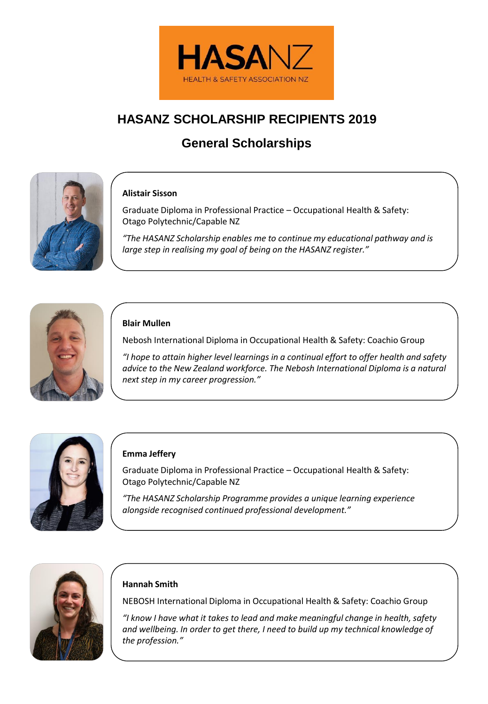

# **HASANZ SCHOLARSHIP RECIPIENTS 2019**

# **General Scholarships**



# **Alistair Sisson**

Graduate Diploma in Professional Practice – Occupational Health & Safety: Otago Polytechnic/Capable NZ

*"The HASANZ Scholarship enables me to continue my educational pathway and is large step in realising my goal of being on the HASANZ register."*



# **Blair Mullen**

Nebosh International Diploma in Occupational Health & Safety: Coachio Group

*"I hope to attain higher level learnings in a continual effort to offer health and safety advice to the New Zealand workforce. The Nebosh International Diploma is a natural next step in my career progression."*



### **Emma Jeffery**

Graduate Diploma in Professional Practice – Occupational Health & Safety: Otago Polytechnic/Capable NZ

*"The HASANZ Scholarship Programme provides a unique learning experience alongside recognised continued professional development."*



# **Hannah Smith**

NEBOSH International Diploma in Occupational Health & Safety: Coachio Group

*"I know I have what it takes to lead and make meaningful change in health, safety and wellbeing. In order to get there, I need to build up my technical knowledge of the profession."*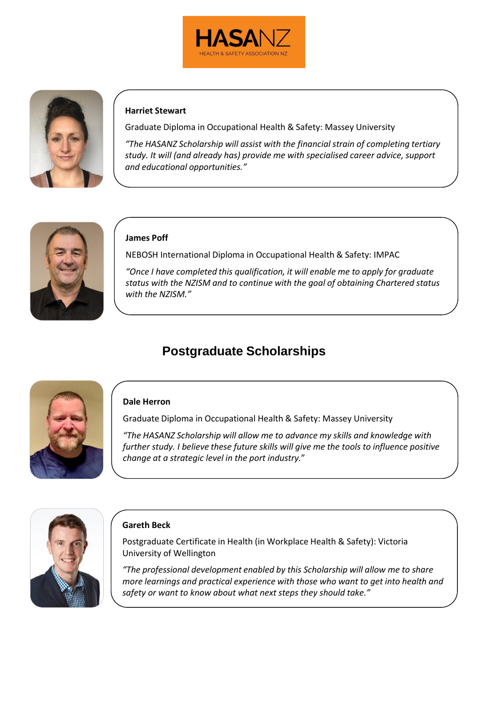



# **Harriet Stewart**

Graduate Diploma in Occupational Health & Safety: Massey University

*"The HASANZ Scholarship will assist with the financial strain of completing tertiary study. It will (and already has) provide me with specialised career advice, support and educational opportunities."*



### **James Poff**

NEBOSH International Diploma in Occupational Health & Safety: IMPAC

*"Once I have completed this qualification, it will enable me to apply for graduate status with the NZISM and to continue with the goal of obtaining Chartered status with the NZISM."*

# **Postgraduate Scholarships**



### **Dale Herron**

Graduate Diploma in Occupational Health & Safety: Massey University

*"The HASANZ Scholarship will allow me to advance my skills and knowledge with further study. I believe these future skills will give me the tools to influence positive change at a strategic level in the port industry.*"



### **Gareth Beck**

Postgraduate Certificate in Health (in Workplace Health & Safety): Victoria University of Wellington

*"The professional development enabled by this Scholarship will allow me to share more learnings and practical experience with those who want to get into health and safety or want to know about what next steps they should take."*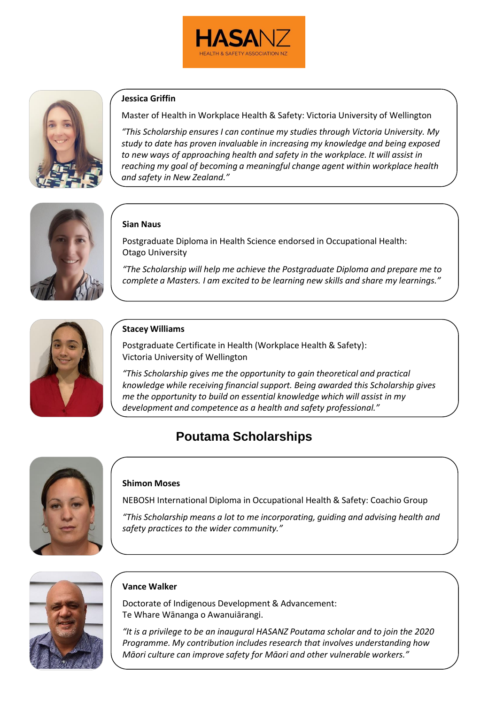



## **Jessica Griffin**

Master of Health in Workplace Health & Safety: Victoria University of Wellington

*"This Scholarship ensures I can continue my studies through Victoria University. My study to date has proven invaluable in increasing my knowledge and being exposed to new ways of approaching health and safety in the workplace. It will assist in reaching my goal of becoming a meaningful change agent within workplace health and safety in New Zealand."*



# **Sian Naus**

Postgraduate Diploma in Health Science endorsed in Occupational Health: Otago University

*"The Scholarship will help me achieve the Postgraduate Diploma and prepare me to complete a Masters. I am excited to be learning new skills and share my learnings."*



# **Stacey Williams**

Postgraduate Certificate in Health (Workplace Health & Safety): Victoria University of Wellington

*"This Scholarship gives me the opportunity to gain theoretical and practical knowledge while receiving financial support. Being awarded this Scholarship gives me the opportunity to build on essential knowledge which will assist in my development and competence as a health and safety professional."*

# **Poutama Scholarships**



#### **Shimon Moses**

NEBOSH International Diploma in Occupational Health & Safety: Coachio Group

*"This Scholarship means a lot to me incorporating, guiding and advising health and safety practices to the wider community."*



#### **Vance Walker**

Doctorate of Indigenous Development & Advancement: Te Whare Wānanga o Awanuiārangi.

*"It is a privilege to be an inaugural HASANZ Poutama scholar and to join the 2020 Programme. My contribution includes research that involves understanding how Māori culture can improve safety for Māori and other vulnerable workers."*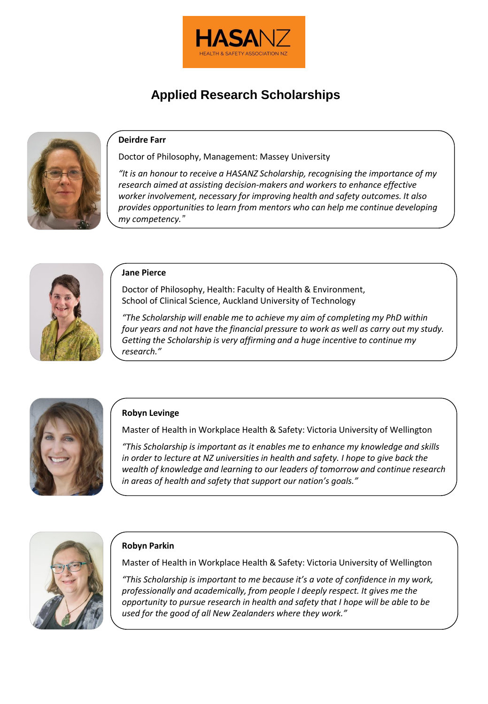

# **Applied Research Scholarships**



# **Deirdre Farr**

Doctor of Philosophy, Management: Massey University

*"It is an honour to receive a HASANZ Scholarship, recognising the importance of my research aimed at assisting decision-makers and workers to enhance effective worker involvement, necessary for improving health and safety outcomes. It also provides opportunities to learn from mentors who can help me continue developing my competency."*



### **Jane Pierce**

Doctor of Philosophy, Health: Faculty of Health & Environment, School of Clinical Science, Auckland University of Technology

*"The Scholarship will enable me to achieve my aim of completing my PhD within four years and not have the financial pressure to work as well as carry out my study. Getting the Scholarship is very affirming and a huge incentive to continue my research."*



# **Robyn Levinge**

Master of Health in Workplace Health & Safety: Victoria University of Wellington

*"This Scholarship is important as it enables me to enhance my knowledge and skills in order to lecture at NZ universities in health and safety. I hope to give back the wealth of knowledge and learning to our leaders of tomorrow and continue research in areas of health and safety that support our nation's goals."*



# **Robyn Parkin**

Master of Health in Workplace Health & Safety: Victoria University of Wellington

*"This Scholarship is important to me because it's a vote of confidence in my work, professionally and academically, from people I deeply respect. It gives me the opportunity to pursue research in health and safety that I hope will be able to be used for the good of all New Zealanders where they work."*